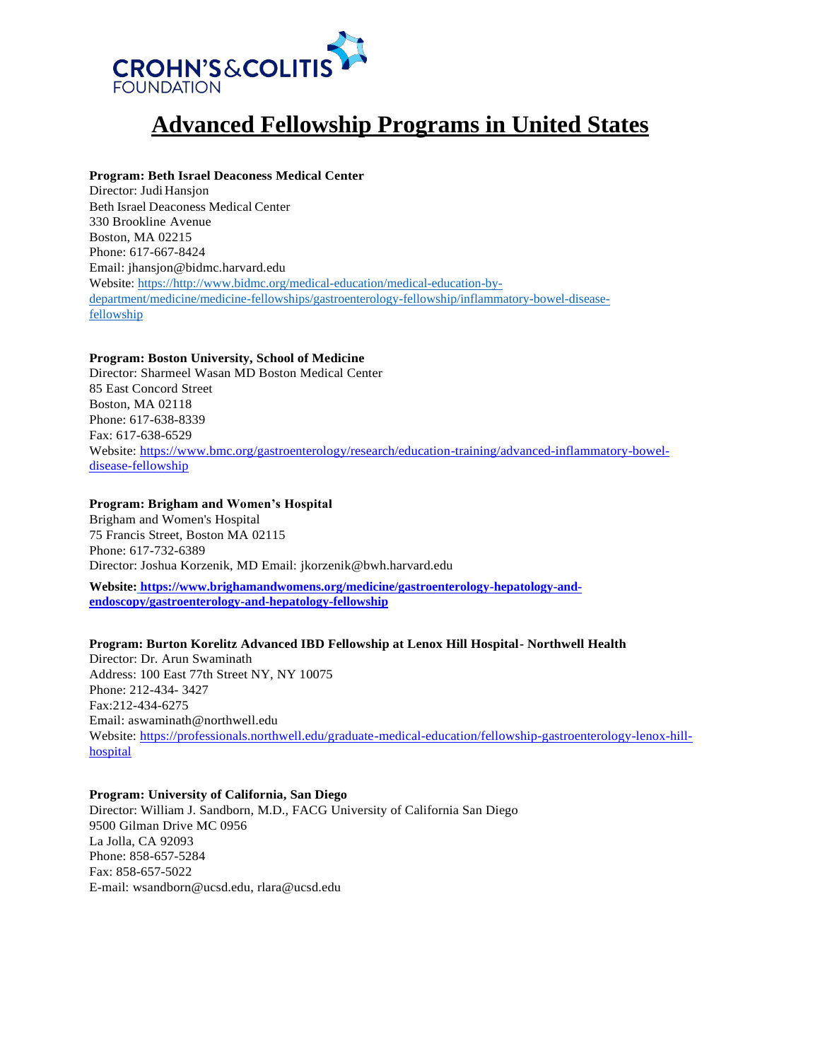

# **Advanced Fellowship Programs in United States**

## **Program: Beth Israel Deaconess Medical Center**

Director: Judi Hansjon Beth Israel Deaconess Medical Center 330 Brookline Avenue Boston, MA 02215 Phone: 617-667-8424 Email: [jhansjon@bidmc.harvard.edu](mailto:jhansjon@bidmc.harvard.edu) Website: https:/[/http://www.bidmc.org/medical-education/medical-education-by](http://www.bidmc.org/medical-education/medical-education-by-department/medicine/medicine-fellowships/gastroenterology-fellowship/inflammatory-bowel-disease-fellowship)[department/medicine/medicine-fellowships/gastroenterology-fellowship/inflammatory-bowel-disease](http://www.bidmc.org/medical-education/medical-education-by-department/medicine/medicine-fellowships/gastroenterology-fellowship/inflammatory-bowel-disease-fellowship)[fellowship](http://www.bidmc.org/medical-education/medical-education-by-department/medicine/medicine-fellowships/gastroenterology-fellowship/inflammatory-bowel-disease-fellowship)

## **Program: Boston University, School of Medicine**

Director: Sharmeel Wasan MD Boston Medical Center 85 East Concord Street Boston, MA 02118 Phone: 617-638-8339 Fax: 617-638-6529 Website: https:/[/www.bmc.org/gastroenterology/research/education-training/advanced-inflammatory-bowel](http://www.bmc.org/gastroenterology/research/education-training/advanced-inflammatory-bowel-disease-fellowship)[disease-fellowship](http://www.bmc.org/gastroenterology/research/education-training/advanced-inflammatory-bowel-disease-fellowship)

## **Program: Brigham and Women's Hospital**

Brigham and Women's Hospital 75 Francis Street, Boston MA 02115 Phone: 617-732-6389 Director: Joshua Korzenik, MD Email: [jkorzenik@bwh.harvard.edu](mailto:jkorzenik@bwh.harvard.edu)

**Website: [https://www.brighamandwomens.org/medicine/gastroenterology-hepatology-and](https://www.brighamandwomens.org/medicine/gastroenterology-hepatology-and-endoscopy/gastroenterology-and-hepatology-fellowship)[endoscopy/gastroenterology-and-hepatology-fellowship](https://www.brighamandwomens.org/medicine/gastroenterology-hepatology-and-endoscopy/gastroenterology-and-hepatology-fellowship)**

## **Program: Burton Korelitz Advanced IBD Fellowship at Lenox Hill Hospital- Northwell Health**

Director: Dr. Arun Swaminath Address: 100 East 77th Street NY, NY 10075 Phone: 212-434- 3427 Fax:212-434-6275 Email: [aswaminath@northwell.edu](mailto:aswaminath@northwell.edu) Website: [https://professionals.northwell.edu/graduate-medical-education/fellowship-gastroenterology-lenox-hill](https://professionals.northwell.edu/graduate-medical-education/fellowship-gastroenterology-lenox-hill-hospital)[hospital](https://professionals.northwell.edu/graduate-medical-education/fellowship-gastroenterology-lenox-hill-hospital)

## **Program: University of California, San Diego**

Director: William J. Sandborn, M.D., FACG University of California San Diego 9500 Gilman Drive MC 0956 La Jolla, CA 92093 Phone: 858-657-5284 Fax: 858-657-5022 E-mail: [wsandborn@ucsd.edu,](mailto:wsandborn@ucsd.edu) [rlara@ucsd.edu](mailto:rlara@ucsd.edu)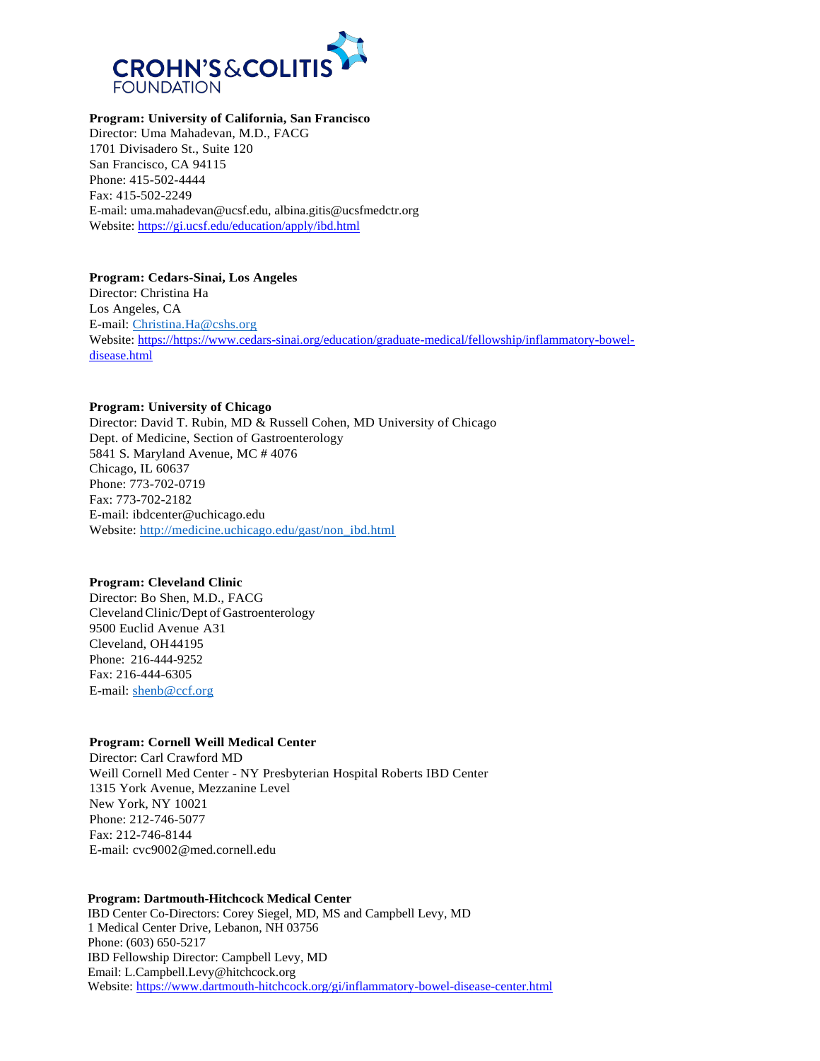

## **Program: University of California, San Francisco**

Director: Uma Mahadevan, M.D., FACG 1701 Divisadero St., Suite 120 San Francisco, CA 94115 Phone: 415-502-4444 Fax: 415-502-2249 E-mail[: uma.mahadevan@ucsf.edu,](mailto:uma.mahadevan@ucsf.edu) [albina.gitis@ucsfmedctr.org](mailto:albina.gitis@ucsfmedctr.org) Website:<https://gi.ucsf.edu/education/apply/ibd.html>

#### **Program: Cedars-Sinai, Los Angeles**

Director: Christina Ha Los Angeles, CA E-mail: [Christina.Ha@cshs.org](mailto:Christina.Ha@cshs.org) Website: https:/[/https://www.cedars-sinai.org/education/graduate-medical/fellowship/inflammatory-bowel](https://www.cedars-sinai.org/education/graduate-medical/fellowship/inflammatory-bowel-disease.html)[disease.html](https://www.cedars-sinai.org/education/graduate-medical/fellowship/inflammatory-bowel-disease.html)

## **Program: University of Chicago**

Director: David T. Rubin, MD & Russell Cohen, MD University of Chicago Dept. of Medicine, Section of Gastroenterology 5841 S. Maryland Avenue, MC # 4076 Chicago, IL 60637 Phone: 773-702-0719 Fax: 773-702-2182 E-mail: [ibdcenter@uchicago.edu](mailto:ibdcenter@uchicago.edu) Website: [http://medicine.uchicago.edu/gast/non\\_ibd.html](http://medicine.uchicago.edu/gast/non_ibd.html)

## **Program: Cleveland Clinic**

Director: Bo Shen, M.D., FACG ClevelandClinic/Dept of Gastroenterology 9500 Euclid Avenue A31 Cleveland, OH44195 Phone: 216-444-9252 Fax: 216-444-6305 E-mail: [shenb@ccf.org](mailto:shenb@ccf.org)

## **Program: Cornell Weill Medical Center**

Director: Carl Crawford MD Weill Cornell Med Center - NY Presbyterian Hospital Roberts IBD Center 1315 York Avenue, Mezzanine Level New York, NY 10021 Phone: 212-746-5077 Fax: 212-746-8144 E-mail: [cvc9002@med.cornell.edu](mailto:cvc9002@med.cornell.edu)

## **Program: Dartmouth-Hitchcock Medical Center**

IBD Center Co-Directors: Corey Siegel, MD, MS and Campbell Levy, MD 1 Medical Center Drive, Lebanon, NH 03756 Phone: (603) 650-5217 IBD Fellowship Director: Campbell Levy, MD Email: L.Campbell.Levy@hitchcock.org Website: [https://www.dartmouth-hitchcock.org/gi/inflammatory-bowel-disease-center.html](https://urldefense.com/v3/__https:/www.dartmouth-hitchcock.org/gi/inflammatory-bowel-disease-center.html__;!!HLIOig!pGCP9mTxDQLIcNmToFWKlafX0zg3U4epVrkgTMRLx8dSoBtTKdQt6BTVKZ1a-XejHqJJmsrsViex$)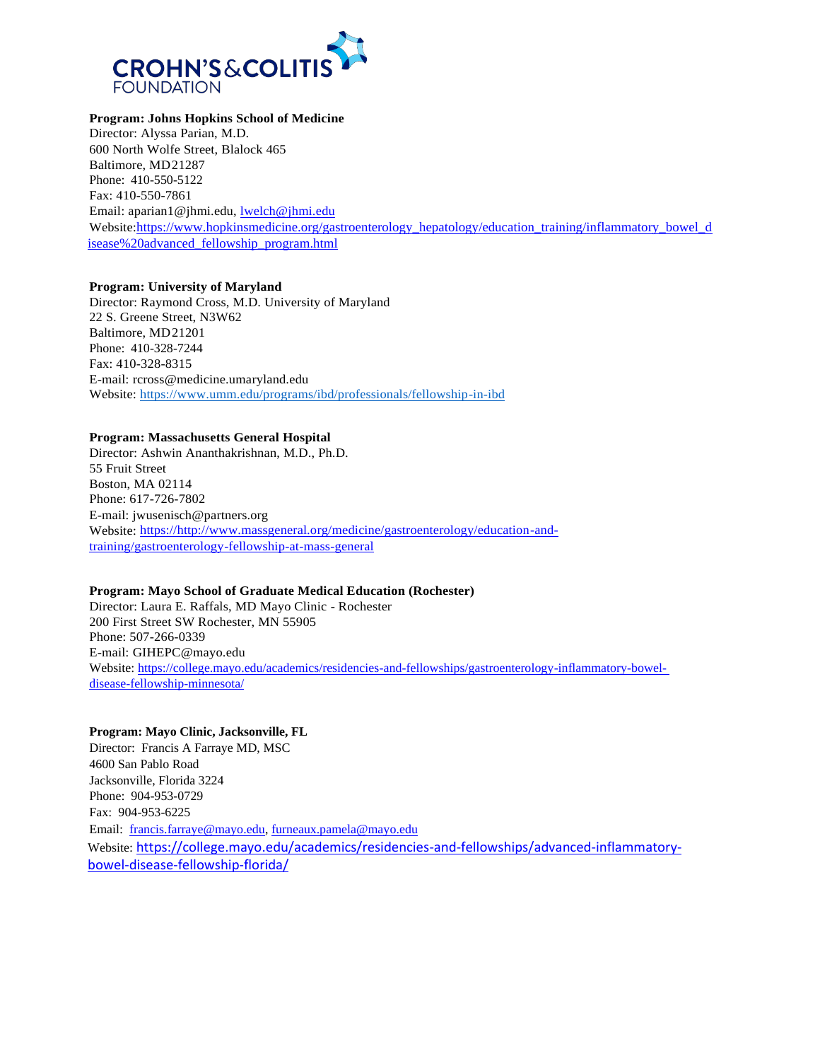

## **Program: Johns Hopkins School of Medicine**

Director: Alyssa Parian, M.D. 600 North Wolfe Street, Blalock 465 Baltimore, MD21287 Phone: 410-550-5122 Fax: 410-550-7861 Email: [aparian1@jhmi.edu,](mailto:aparian1@jhmi.edu) [lwelch@jhmi.edu](mailto:lwelch@jhmi.edu) Website:[https://www.hopkinsmedicine.org/gastroenterology\\_hepatology/education\\_training/inflammatory\\_bowel\\_d](https://www.hopkinsmedicine.org/gastroenterology_hepatology/education_training/inflammatory_bowel_disease%20advanced_fellowship_program.html) [isease%20advanced\\_fellowship\\_program.html](https://www.hopkinsmedicine.org/gastroenterology_hepatology/education_training/inflammatory_bowel_disease%20advanced_fellowship_program.html)

## **Program: University of Maryland**

Director: Raymond Cross, M.D. University of Maryland 22 S. Greene Street, N3W62 Baltimore, MD21201 Phone: 410-328-7244 Fax: 410-328-8315 E-mail: [rcross@medicine.umaryland.edu](mailto:rcross@medicine.umaryland.edu) Website: https:/[/www.umm.edu/programs/ibd/professionals/fellowship-in-ibd](http://www.umm.edu/programs/ibd/professionals/fellowship-in-ibd)

## **Program: Massachusetts General Hospital**

Director: Ashwin Ananthakrishnan, M.D., Ph.D. 55 Fruit Street Boston, MA 02114 Phone: 617-726-7802 E-mail: [jwusenisch@partners.org](mailto:jwusenisch@partners.org) Website: https:/[/http://www.massgeneral.org/medicine/gastroenterology/education-and](http://www.massgeneral.org/medicine/gastroenterology/education-and-training/gastroenterology-fellowship-at-mass-general)[training/gastroenterology-fellowship-at-mass-general](http://www.massgeneral.org/medicine/gastroenterology/education-and-training/gastroenterology-fellowship-at-mass-general)

## **Program: Mayo School of Graduate Medical Education (Rochester)**

Director: Laura E. Raffals, MD Mayo Clinic - Rochester 200 First Street SW Rochester, MN 55905 Phone: 507-266-0339 E-mail: [GIHEPC@mayo.edu](mailto:GIHEPC@mayo.edu) Website: [https://college.mayo.edu/academics/residencies-and-fellowships/gastroenterology-inflammatory-bowel](https://college.mayo.edu/academics/residencies-and-fellowships/gastroenterology-inflammatory-bowel-%20disease-fellowship-minnesota/)[disease-fellowship-minnesota/](https://college.mayo.edu/academics/residencies-and-fellowships/gastroenterology-inflammatory-bowel-%20disease-fellowship-minnesota/)

## **Program: Mayo Clinic, Jacksonville, FL**

Director: Francis A Farraye MD, MSC 4600 San Pablo Road Jacksonville, Florida 3224 Phone: 904-953-0729 Fax: 904-953-6225 Email: [francis.farraye@mayo.edu,](mailto:francis.farraye@mayo.edu) [furneaux.pamela@mayo.edu](mailto:furneaux.pamela@mayo.edu) Website: [https://college.mayo.edu/academics/residencies-and-fellowships/advanced-inflammatory](https://urldefense.com/v3/__https:/nam04.safelinks.protection.outlook.com/?url=https*3A*2F*2Fcollege.mayo.edu*2Facademics*2Fresidencies-and-fellowships*2Fadvanced-inflammatory-bowel-disease-fellowship-florida*2F&data=04*7C01*7Cdavid.a.schwartz*40vanderbilt.edu*7Cc46f6bfc3d204ade249808d94fbbce9e*7Cba5a7f39e3be4ab3b45067fa80faecad*7C0*7C1*7C637628490324960308*7CUnknown*7CTWFpbGZsb3d8eyJWIjoiMC4wLjAwMDAiLCJQIjoiV2luMzIiLCJBTiI6Ik1haWwiLCJXVCI6Mn0*3D*7C1000&sdata=xM2jrQy0AARKzc*2FEESHHgVzj99*2BAAG5*2BdYQuBXhLdKw*3D&reserved=0__;JSUlJSUlJSUlJSUlJSUlJSUlJSUlJSU!!HLIOig!qDnKwgxaf48W5_83WjubLtMJf90tlPMKflyTGNxhs-qffbZEfgzuQE4VQoWhxP_1D3v6t2PxQWHw$)[bowel-disease-fellowship-florida/](https://urldefense.com/v3/__https:/nam04.safelinks.protection.outlook.com/?url=https*3A*2F*2Fcollege.mayo.edu*2Facademics*2Fresidencies-and-fellowships*2Fadvanced-inflammatory-bowel-disease-fellowship-florida*2F&data=04*7C01*7Cdavid.a.schwartz*40vanderbilt.edu*7Cc46f6bfc3d204ade249808d94fbbce9e*7Cba5a7f39e3be4ab3b45067fa80faecad*7C0*7C1*7C637628490324960308*7CUnknown*7CTWFpbGZsb3d8eyJWIjoiMC4wLjAwMDAiLCJQIjoiV2luMzIiLCJBTiI6Ik1haWwiLCJXVCI6Mn0*3D*7C1000&sdata=xM2jrQy0AARKzc*2FEESHHgVzj99*2BAAG5*2BdYQuBXhLdKw*3D&reserved=0__;JSUlJSUlJSUlJSUlJSUlJSUlJSUlJSU!!HLIOig!qDnKwgxaf48W5_83WjubLtMJf90tlPMKflyTGNxhs-qffbZEfgzuQE4VQoWhxP_1D3v6t2PxQWHw$)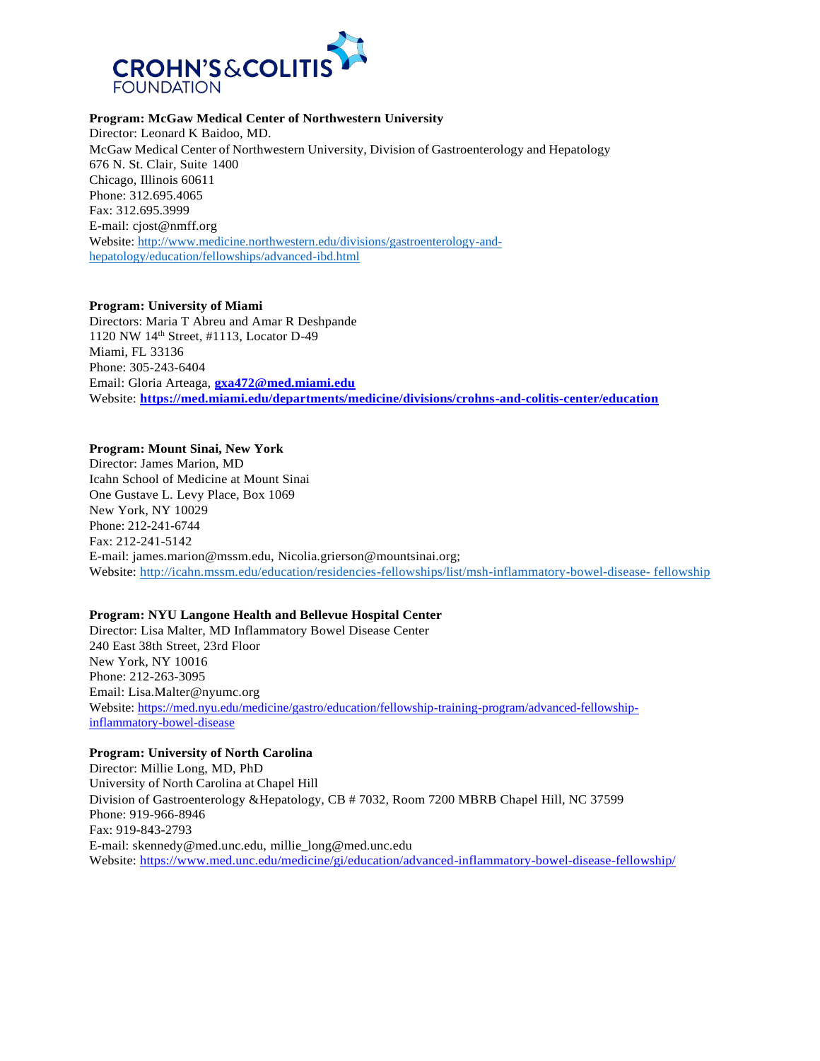

## **Program: McGaw Medical Center of Northwestern University**

Director: Leonard K Baidoo, MD. McGaw Medical Center of Northwestern University, Division of Gastroenterology and Hepatology 676 N. St. Clair, Suite 1400 Chicago, Illinois 60611 Phone: 312.695.4065 Fax: 312.695.3999 E-mail: [cjost@nmff.org](mailto:cjost@nmff.org) Website: [http://www.medicine.northwestern.edu/divisions/gastroenterology-and](http://www.medicine.northwestern.edu/divisions/gastroenterology-and-hepatology/education/fellowships/advanced-ibd.html)[hepatology/education/fellowships/advanced-ibd.html](http://www.medicine.northwestern.edu/divisions/gastroenterology-and-hepatology/education/fellowships/advanced-ibd.html)

#### **Program: University of Miami**

Directors: Maria T Abreu and Amar R Deshpande 1120 NW 14th Street, #1113, Locator D-49 Miami, FL 33136 Phone: 305-243-6404 Email: Gloria Arteaga, **[gxa472@med.miami.edu](mailto:gxa472@med.miami.edu)** Website: **<https://med.miami.edu/departments/medicine/divisions/crohns-and-colitis-center/education>**

#### **Program: Mount Sinai, New York**

Director: James Marion, MD Icahn School of Medicine at Mount Sinai One Gustave L. Levy Place, Box 1069 New York, NY 10029 Phone: 212-241-6744 Fax: 212-241-5142 E-mail: [james.marion@mssm.edu, N](mailto:james.marion@mssm.edu)icolia.grierson@mountsinai.org; Website: [http://icahn.mssm.edu/education/residencies-fellowships/list/msh-inflammatory-bowel-disease-](http://icahn.mssm.edu/education/residencies-fellowships/list/msh-inflammatory-bowel-disease-fellowship) fellowship

#### **Program: NYU Langone Health and Bellevue Hospital Center**

Director: Lisa Malter, MD Inflammatory Bowel Disease Center 240 East 38th Street, 23rd Floor New York, NY 10016 Phone: 212-263-3095 Email: [Lisa.Malter@nyumc.org](mailto:Lisa.Malter@nyumc.org) Website: [https://med.nyu.edu/medicine/gastro/education/fellowship-training-program/advanced-fellowship](https://med.nyu.edu/medicine/gastro/education/fellowship-training-program/advanced-fellowship-inflammatory-bowel-disease)[inflammatory-bowel-disease](https://med.nyu.edu/medicine/gastro/education/fellowship-training-program/advanced-fellowship-inflammatory-bowel-disease)

## **Program: University of North Carolina**

Director: Millie Long, MD, PhD University of North Carolina at Chapel Hill Division of Gastroenterology &Hepatology, CB # 7032, Room 7200 MBRB Chapel Hill, NC 37599 Phone: 919-966-8946 Fax: 919-843-2793 E-mail: [skennedy@med.unc.edu,](mailto:skennedy@med.unc.edu) [millie\\_long@med.unc.edu](mailto:millie_long@med.unc.edu) Website: https:/[/www.med.unc.edu/medicine/gi/education/advanced-inflammatory-bowel-disease-fellowship/](http://www.med.unc.edu/medicine/gi/education/advanced-inflammatory-bowel-disease-fellowship/)